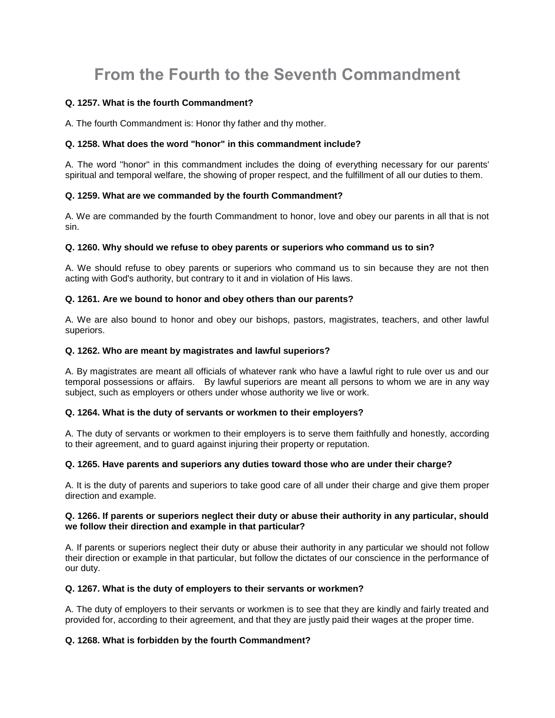# **From the Fourth to the Seventh Commandment**

## **Q. 1257. What is the fourth Commandment?**

A. The fourth Commandment is: Honor thy father and thy mother.

## **Q. 1258. What does the word "honor" in this commandment include?**

A. The word "honor" in this commandment includes the doing of everything necessary for our parents' spiritual and temporal welfare, the showing of proper respect, and the fulfillment of all our duties to them.

## **Q. 1259. What are we commanded by the fourth Commandment?**

A. We are commanded by the fourth Commandment to honor, love and obey our parents in all that is not sin.

#### **Q. 1260. Why should we refuse to obey parents or superiors who command us to sin?**

A. We should refuse to obey parents or superiors who command us to sin because they are not then acting with God's authority, but contrary to it and in violation of His laws.

#### **Q. 1261. Are we bound to honor and obey others than our parents?**

A. We are also bound to honor and obey our bishops, pastors, magistrates, teachers, and other lawful superiors.

## **Q. 1262. Who are meant by magistrates and lawful superiors?**

A. By magistrates are meant all officials of whatever rank who have a lawful right to rule over us and our temporal possessions or affairs. By lawful superiors are meant all persons to whom we are in any way subject, such as employers or others under whose authority we live or work.

#### **Q. 1264. What is the duty of servants or workmen to their employers?**

A. The duty of servants or workmen to their employers is to serve them faithfully and honestly, according to their agreement, and to guard against injuring their property or reputation.

#### **Q. 1265. Have parents and superiors any duties toward those who are under their charge?**

A. It is the duty of parents and superiors to take good care of all under their charge and give them proper direction and example.

#### **Q. 1266. If parents or superiors neglect their duty or abuse their authority in any particular, should we follow their direction and example in that particular?**

A. If parents or superiors neglect their duty or abuse their authority in any particular we should not follow their direction or example in that particular, but follow the dictates of our conscience in the performance of our duty.

#### **Q. 1267. What is the duty of employers to their servants or workmen?**

A. The duty of employers to their servants or workmen is to see that they are kindly and fairly treated and provided for, according to their agreement, and that they are justly paid their wages at the proper time.

# **Q. 1268. What is forbidden by the fourth Commandment?**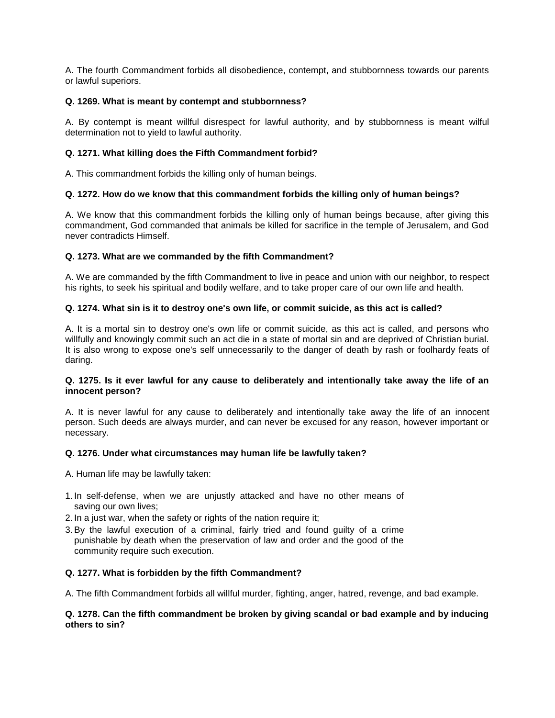A. The fourth Commandment forbids all disobedience, contempt, and stubbornness towards our parents or lawful superiors.

## **Q. 1269. What is meant by contempt and stubbornness?**

A. By contempt is meant willful disrespect for lawful authority, and by stubbornness is meant wilful determination not to yield to lawful authority.

## **Q. 1271. What killing does the Fifth Commandment forbid?**

A. This commandment forbids the killing only of human beings.

## **Q. 1272. How do we know that this commandment forbids the killing only of human beings?**

A. We know that this commandment forbids the killing only of human beings because, after giving this commandment, God commanded that animals be killed for sacrifice in the temple of Jerusalem, and God never contradicts Himself.

## **Q. 1273. What are we commanded by the fifth Commandment?**

A. We are commanded by the fifth Commandment to live in peace and union with our neighbor, to respect his rights, to seek his spiritual and bodily welfare, and to take proper care of our own life and health.

## **Q. 1274. What sin is it to destroy one's own life, or commit suicide, as this act is called?**

A. It is a mortal sin to destroy one's own life or commit suicide, as this act is called, and persons who willfully and knowingly commit such an act die in a state of mortal sin and are deprived of Christian burial. It is also wrong to expose one's self unnecessarily to the danger of death by rash or foolhardy feats of daring.

#### **Q. 1275. Is it ever lawful for any cause to deliberately and intentionally take away the life of an innocent person?**

A. It is never lawful for any cause to deliberately and intentionally take away the life of an innocent person. Such deeds are always murder, and can never be excused for any reason, however important or necessary.

## **Q. 1276. Under what circumstances may human life be lawfully taken?**

A. Human life may be lawfully taken:

- 1. In self-defense, when we are unjustly attacked and have no other means of saving our own lives;
- 2. In a just war, when the safety or rights of the nation require it;
- 3.By the lawful execution of a criminal, fairly tried and found guilty of a crime punishable by death when the preservation of law and order and the good of the community require such execution.

#### **Q. 1277. What is forbidden by the fifth Commandment?**

A. The fifth Commandment forbids all willful murder, fighting, anger, hatred, revenge, and bad example.

#### **Q. 1278. Can the fifth commandment be broken by giving scandal or bad example and by inducing others to sin?**